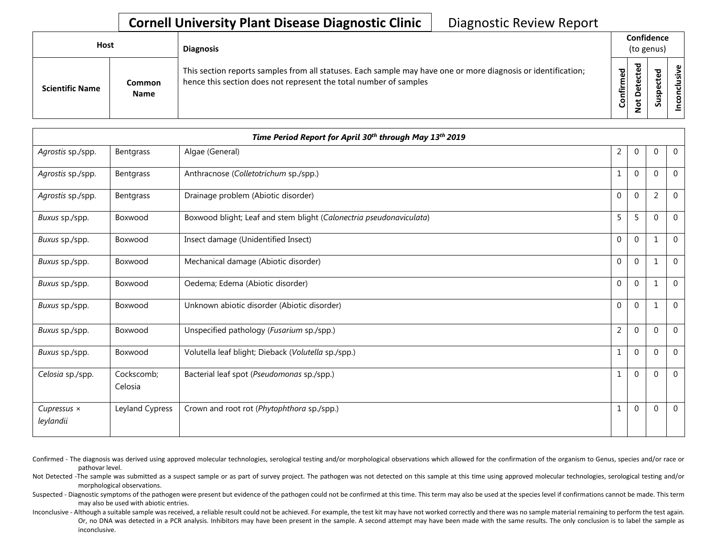| Host                   |                       | <b>Diagnosis</b>                                                                                                                                                                   |           | Confidence<br>(to genus) |        |                       |  |  |
|------------------------|-----------------------|------------------------------------------------------------------------------------------------------------------------------------------------------------------------------------|-----------|--------------------------|--------|-----------------------|--|--|
| <b>Scientific Name</b> | Common<br><b>Name</b> | This section reports samples from all statuses. Each sample may have one or more diagnosis or identification;<br>hence this section does not represent the total number of samples | Confirmed | ъ<br>Δ                   | s<br>n | usive<br>᠊ᠣ<br>c<br>g |  |  |

|                                 |                       | Time Period Report for April 30th through May 13th 2019             |                |              |                |                |
|---------------------------------|-----------------------|---------------------------------------------------------------------|----------------|--------------|----------------|----------------|
| Agrostis sp./spp.               | Bentgrass             | Algae (General)                                                     | 2              | $\mathbf 0$  | $\mathbf 0$    | $\overline{0}$ |
| Agrostis sp./spp.               | Bentgrass             | Anthracnose (Colletotrichum sp./spp.)                               |                | $\mathbf 0$  | $\mathbf 0$    | $\mathbf 0$    |
| Agrostis sp./spp.               | Bentgrass             | Drainage problem (Abiotic disorder)                                 | $\mathbf 0$    | $\mathbf 0$  | $\overline{2}$ | $\mathbf{0}$   |
| Buxus sp./spp.                  | Boxwood               | Boxwood blight; Leaf and stem blight (Calonectria pseudonaviculata) | 5              | 5            | $\Omega$       | $\mathbf 0$    |
| Buxus sp./spp.                  | Boxwood               | Insect damage (Unidentified Insect)                                 | $\overline{0}$ | $\mathbf{0}$ | $\mathbf{1}$   | $\mathbf 0$    |
| Buxus sp./spp.                  | Boxwood               | Mechanical damage (Abiotic disorder)                                | $\mathbf{0}$   | $\mathbf{0}$ | 1              | $\mathbf 0$    |
| Buxus sp./spp.                  | Boxwood               | Oedema; Edema (Abiotic disorder)                                    | $\mathbf{0}$   | $\mathbf{0}$ | 1              | $\mathbf 0$    |
| Buxus sp./spp.                  | Boxwood               | Unknown abiotic disorder (Abiotic disorder)                         | $\overline{0}$ | $\mathbf{0}$ | 1              | $\overline{0}$ |
| Buxus sp./spp.                  | Boxwood               | Unspecified pathology (Fusarium sp./spp.)                           | $\overline{2}$ | $\mathbf{0}$ | $\mathbf 0$    | $\mathbf 0$    |
| Buxus sp./spp.                  | Boxwood               | Volutella leaf blight; Dieback (Volutella sp./spp.)                 | $\mathbf{1}$   | $\mathbf 0$  | $\Omega$       | $\mathbf 0$    |
| Celosia sp./spp.                | Cockscomb;<br>Celosia | Bacterial leaf spot (Pseudomonas sp./spp.)                          | 1              | $\mathbf{0}$ | $\Omega$       | $\overline{0}$ |
| Cupressus $\times$<br>leylandii | Leyland Cypress       | Crown and root rot (Phytophthora sp./spp.)                          | 1              | $\mathbf{0}$ | $\Omega$       | $\overline{0}$ |

Confirmed - The diagnosis was derived using approved molecular technologies, serological testing and/or morphological observations which allowed for the confirmation of the organism to Genus, species and/or race or pathovar level.

Not Detected -The sample was submitted as a suspect sample or as part of survey project. The pathogen was not detected on this sample at this time using approved molecular technologies, serological testing and/or morphological observations.

Suspected - Diagnostic symptoms of the pathogen were present but evidence of the pathogen could not be confirmed at this time. This term may also be used at the species level if confirmations cannot be made. This term may also be used with abiotic entries.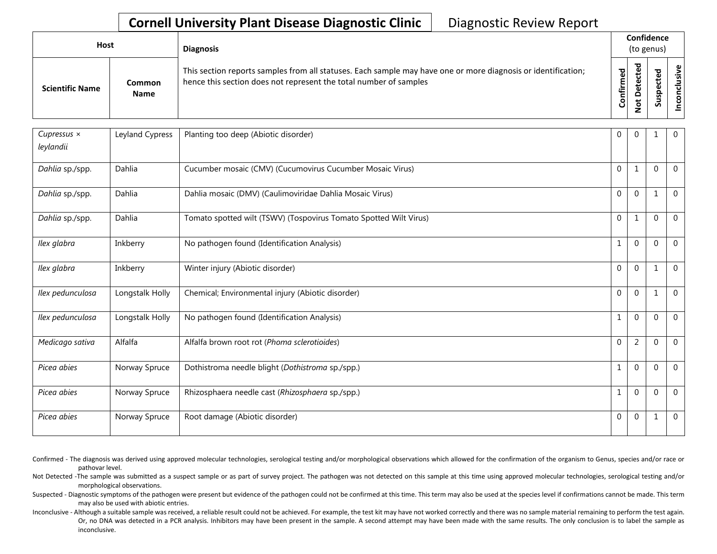| Host                   |                       | <b>Diagnosis</b>                                                                                                                                                                   |               | Confidence<br>(to genus)     |                  |             |  |  |
|------------------------|-----------------------|------------------------------------------------------------------------------------------------------------------------------------------------------------------------------------|---------------|------------------------------|------------------|-------------|--|--|
| <b>Scientific Name</b> | Common<br><b>Name</b> | This section reports samples from all statuses. Each sample may have one or more diagnosis or identification;<br>hence this section does not represent the total number of samples | ъ<br>Confirme | ъ<br>ω<br>٠<br>Φ<br>$\omega$ | ᇃ<br>௨<br>s<br>ഗ | Φ<br>۰<br>Ō |  |  |

| Cupressus ×<br>leylandii | Leyland Cypress | Planting too deep (Abiotic disorder)                              | $\Omega$     | $\Omega$     |          | $\overline{0}$ |
|--------------------------|-----------------|-------------------------------------------------------------------|--------------|--------------|----------|----------------|
| Dahlia sp./spp.          | Dahlia          | Cucumber mosaic (CMV) (Cucumovirus Cucumber Mosaic Virus)         | $\mathbf{0}$ | 1            | $\Omega$ | $\overline{0}$ |
| Dahlia sp./spp.          | Dahlia          | Dahlia mosaic (DMV) (Caulimoviridae Dahlia Mosaic Virus)          | $\mathbf{0}$ | $\mathbf{0}$ |          | $\overline{0}$ |
| Dahlia sp./spp.          | Dahlia          | Tomato spotted wilt (TSWV) (Tospovirus Tomato Spotted Wilt Virus) | $\mathbf{0}$ | 1            | $\Omega$ | $\mathbf 0$    |
| Ilex glabra              | Inkberry        | No pathogen found (Identification Analysis)                       | 1            | $\mathbf 0$  | $\Omega$ | $\overline{0}$ |
| Ilex glabra              | Inkberry        | Winter injury (Abiotic disorder)                                  | $\mathbf{0}$ | $\mathbf{0}$ | 1        | $\overline{0}$ |
| Ilex pedunculosa         | Longstalk Holly | Chemical; Environmental injury (Abiotic disorder)                 | $\Omega$     | $\mathbf{0}$ |          | $\overline{0}$ |
| Ilex pedunculosa         | Longstalk Holly | No pathogen found (Identification Analysis)                       |              | $\mathbf 0$  | $\Omega$ | $\mathbf 0$    |
| Medicago sativa          | Alfalfa         | Alfalfa brown root rot (Phoma sclerotioides)                      | $\mathbf{0}$ | 2            | $\Omega$ | $\mathbf{0}$   |
| Picea abies              | Norway Spruce   | Dothistroma needle blight (Dothistroma sp./spp.)                  |              | $\mathbf 0$  | $\Omega$ | $\mathbf 0$    |
| Picea abies              | Norway Spruce   | Rhizosphaera needle cast (Rhizosphaera sp./spp.)                  |              | $\Omega$     | 0        | $\mathbf{0}$   |
| Picea abies              | Norway Spruce   | Root damage (Abiotic disorder)                                    | $\Omega$     | $\mathbf 0$  | 1        | $\mathbf 0$    |

Confirmed - The diagnosis was derived using approved molecular technologies, serological testing and/or morphological observations which allowed for the confirmation of the organism to Genus, species and/or race or pathovar level.

Not Detected -The sample was submitted as a suspect sample or as part of survey project. The pathogen was not detected on this sample at this time using approved molecular technologies, serological testing and/or morphological observations.

Suspected - Diagnostic symptoms of the pathogen were present but evidence of the pathogen could not be confirmed at this time. This term may also be used at the species level if confirmations cannot be made. This term may also be used with abiotic entries.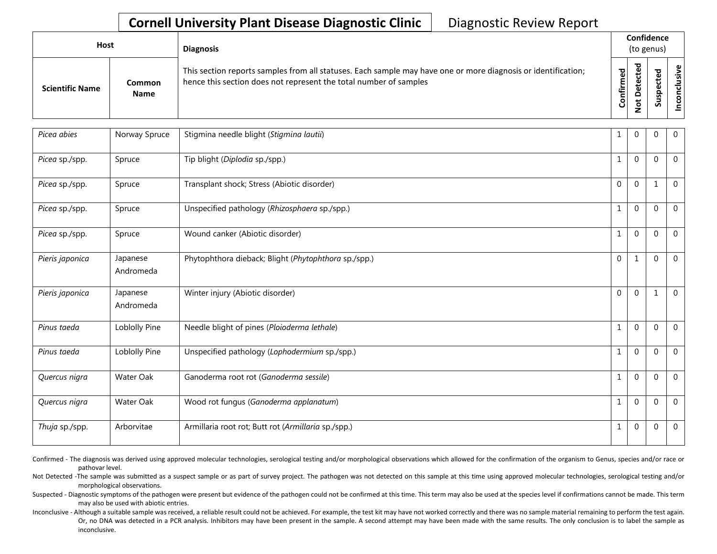| Host                   |                       | <b>Diagnosis</b>                                                                                                                                                                   |           | Confidence<br>(to genus) |   |               |  |
|------------------------|-----------------------|------------------------------------------------------------------------------------------------------------------------------------------------------------------------------------|-----------|--------------------------|---|---------------|--|
| <b>Scientific Name</b> | Common<br><b>Name</b> | This section reports samples from all statuses. Each sample may have one or more diagnosis or identification;<br>hence this section does not represent the total number of samples | Confirmed | ᇃ<br>Φ<br>$\circ$<br>ى   | ທ | Φ<br>ີ້<br>᠊ᠣ |  |

| Picea abies     | Norway Spruce         | Stigmina needle blight (Stigmina lautii)             | 1            | 0            | 0            | $\overline{0}$ |
|-----------------|-----------------------|------------------------------------------------------|--------------|--------------|--------------|----------------|
| Picea sp./spp.  | Spruce                | Tip blight (Diplodia sp./spp.)                       | $\mathbf{1}$ | $\mathbf{0}$ | $\Omega$     | $\Omega$       |
| Picea sp./spp.  | Spruce                | Transplant shock; Stress (Abiotic disorder)          | $\Omega$     | $\mathbf 0$  | $\mathbf{1}$ | $\overline{0}$ |
| Picea sp./spp.  | Spruce                | Unspecified pathology (Rhizosphaera sp./spp.)        | $\mathbf{1}$ | $\mathbf{0}$ | $\mathbf{0}$ | $\mathbf{0}$   |
| Picea sp./spp.  | Spruce                | Wound canker (Abiotic disorder)                      | 1            | $\mathbf{0}$ | $\mathbf{0}$ | $\mathbf 0$    |
| Pieris japonica | Japanese<br>Andromeda | Phytophthora dieback; Blight (Phytophthora sp./spp.) | $\mathbf 0$  | $\mathbf{1}$ | $\Omega$     | $\Omega$       |
| Pieris japonica | Japanese<br>Andromeda | Winter injury (Abiotic disorder)                     | $\Omega$     | $\mathbf{0}$ |              | $\mathbf 0$    |
| Pinus taeda     | Loblolly Pine         | Needle blight of pines (Ploioderma lethale)          | $\mathbf{1}$ | $\mathbf{0}$ | $\theta$     | $\overline{0}$ |
| Pinus taeda     | Loblolly Pine         | Unspecified pathology (Lophodermium sp./spp.)        | $\mathbf{1}$ | $\mathbf 0$  | $\Omega$     | $\overline{0}$ |
| Quercus nigra   | Water Oak             | Ganoderma root rot (Ganoderma sessile)               | $\mathbf{1}$ | $\mathbf 0$  | $\Omega$     | $\mathbf{0}$   |
| Quercus nigra   | Water Oak             | Wood rot fungus (Ganoderma applanatum)               | $\mathbf{1}$ | $\mathbf 0$  | $\Omega$     | $\mathbf{0}$   |
| Thuja sp./spp.  | Arborvitae            | Armillaria root rot; Butt rot (Armillaria sp./spp.)  | 1            | $\mathbf{0}$ | $\mathbf{0}$ | $\overline{0}$ |

Confirmed - The diagnosis was derived using approved molecular technologies, serological testing and/or morphological observations which allowed for the confirmation of the organism to Genus, species and/or race or pathovar level.

Not Detected -The sample was submitted as a suspect sample or as part of survey project. The pathogen was not detected on this sample at this time using approved molecular technologies, serological testing and/or morphological observations.

Suspected - Diagnostic symptoms of the pathogen were present but evidence of the pathogen could not be confirmed at this time. This term may also be used at the species level if confirmations cannot be made. This term may also be used with abiotic entries.